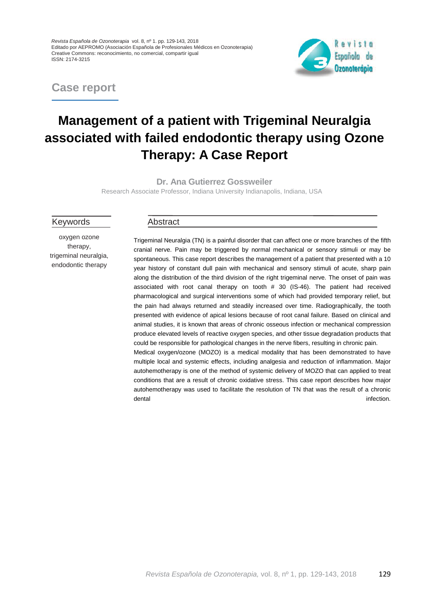*Revista Española de Ozonoterapia* vol. 8, nº 1. pp. 129-143, 2018 Editado por AEPROMO (Asociación Española de Profesionales Médicos en Ozonoterapia) Creative Commons: reconocimiento, no comercial, compartir igual ISSN: 2174-3215

**Case report**



# **Management of a patient with Trigeminal Neuralgia associated with failed endodontic therapy using Ozone Therapy: A Case Report**

**Dr. Ana Gutierrez Gossweiler**

Research Associate Professor, Indiana University Indianapolis, Indiana, USA

Keywords

oxygen ozone therapy, trigeminal neuralgia, endodontic therapy

#### Abstract

Trigeminal Neuralgia (TN) is a painful disorder that can affect one or more branches of the fifth cranial nerve. Pain may be triggered by normal mechanical or sensory stimuli or may be spontaneous. This case report describes the management of a patient that presented with a 10 year history of constant dull pain with mechanical and sensory stimuli of acute, sharp pain along the distribution of the third division of the right trigeminal nerve. The onset of pain was associated with root canal therapy on tooth # 30 (IS-46). The patient had received pharmacological and surgical interventions some of which had provided temporary relief, but the pain had always returned and steadily increased over time. Radiographically, the tooth presented with evidence of apical lesions because of root canal failure. Based on clinical and animal studies, it is known that areas of chronic osseous infection or mechanical compression produce elevated levels of reactive oxygen species, and other tissue degradation products that could be responsible for pathological changes in the nerve fibers, resulting in chronic pain. Medical oxygen/ozone (MOZO) is a medical modality that has been demonstrated to have multiple local and systemic effects, including analgesia and reduction of inflammation. Major autohemotherapy is one of the method of systemic delivery of MOZO that can applied to treat conditions that are a result of chronic oxidative stress. This case report describes how major autohemotherapy was used to facilitate the resolution of TN that was the result of a chronic dental infection. The contract of the contract of the contract of the contract of the contract of the contract of the contract of the contract of the contract of the contract of the contract of the contract of the contract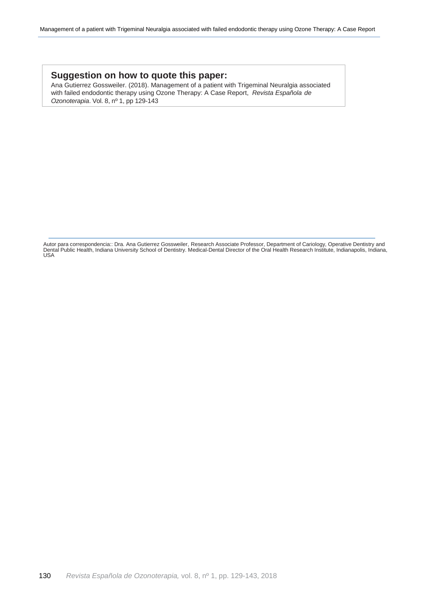### **Suggestion on how to quote this paper:**

Ana Gutierrez Gossweiler. (2018). Management of a patient with Trigeminal Neuralgia associated with failed endodontic therapy using [Ozone Therapy:](https://www.austinozone.com) A Case Report, *Revista Española de Ozonoterapia*. Vol. 8, nº 1, pp 129-143

Autor para correspondencia:: Dra. Ana Gutierrez Gossweiler, Research Associate Professor, Department of Cariology, Operative Dentistry and Dental Public Health, Indiana University School of Dentistry. Medical-Dental Director of the Oral Health Research Institute, Indianapolis, Indiana, USA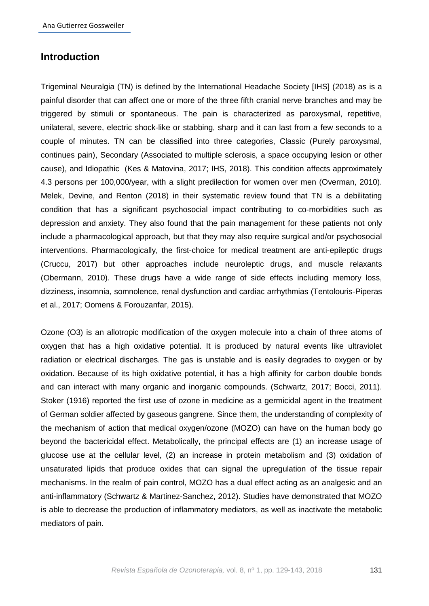# **Introduction**

Trigeminal Neuralgia (TN) is defined by the International Headache Society [IHS] (2018) as is a painful disorder that can affect one or more of the three fifth cranial nerve branches and may be triggered by stimuli or spontaneous. The pain is characterized as paroxysmal, repetitive, unilateral, severe, electric shock-like or stabbing, sharp and it can last from a few seconds to a couple of minutes. TN can be classified into three categories, Classic (Purely paroxysmal, continues pain), Secondary (Associated to multiple sclerosis, a space occupying lesion or other cause), and Idiopathic (Kes & Matovina, 2017; IHS, 2018). This condition affects approximately 4.3 persons per 100,000/year, with a slight predilection for women over men (Overman, 2010). Melek, Devine, and Renton (2018) in their systematic review found that TN is a debilitating condition that has a significant psychosocial impact contributing to co-morbidities such as depression and anxiety. They also found that the pain management for these patients not only include a pharmacological approach, but that they may also require surgical and/or psychosocial interventions. Pharmacologically, the first-choice for medical treatment are anti-epileptic drugs (Cruccu, 2017) but other approaches include neuroleptic drugs, and muscle relaxants (Obermann, 2010). These drugs have a wide range of side effects including memory loss, dizziness, insomnia, somnolence, renal dysfunction and cardiac arrhythmias (Tentolouris-Piperas et al., 2017; Oomens & Forouzanfar, 2015).

Ozone (O3) is an allotropic modification of the oxygen molecule into a chain of three atoms of oxygen that has a high oxidative potential. It is produced by natural events like ultraviolet radiation or electrical discharges. The gas is unstable and is easily degrades to oxygen or by oxidation. Because of its high oxidative potential, it has a high affinity for carbon double bonds and can interact with many organic and inorganic compounds. (Schwartz, 2017; Bocci, 2011). Stoker (1916) reported the first use of ozone in medicine as a germicidal agent in the treatment of German soldier affected by gaseous gangrene. Since them, the understanding of complexity of the mechanism of action that medical oxygen/ozone (MOZO) can have on the human body go beyond the bactericidal effect. Metabolically, the principal effects are (1) an increase usage of glucose use at the cellular level, (2) an increase in protein metabolism and (3) oxidation of unsaturated lipids that produce oxides that can signal the upregulation of the tissue repair mechanisms. In the realm of pain control, MOZO has a dual effect acting as an analgesic and an anti-inflammatory (Schwartz & Martinez-Sanchez, 2012). Studies have demonstrated that MOZO is able to decrease the production of inflammatory mediators, as well as inactivate the metabolic mediators of pain.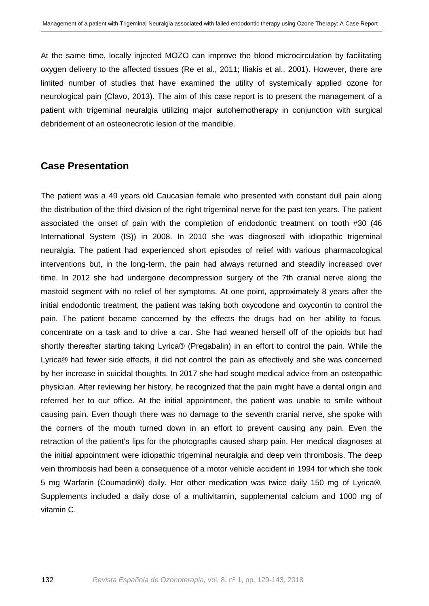At the same time, locally injected MOZO can improve the blood microcirculation by facilitating oxygen delivery to the affected tissues (Re et al., 2011; Iliakis et al., 2001). However, there are limited number of studies that have examined the utility of systemically applied ozone for neurological pain (Clavo, 2013). The aim of this case report is to present the management of a patient with trigeminal neuralgia utilizing major autohemotherapy in conjunction with surgical debridement of an osteonecrotic lesion of the mandible.

## **Case Presentation**

The patient was a 49 years old Caucasian female who presented with constant dull pain along the distribution of the third division of the right trigeminal nerve for the past ten years. The patient associated the onset of pain with the completion of endodontic treatment on tooth #30 (46 International System (IS)) in 2008. In 2010 she was diagnosed with idiopathic trigeminal neuralgia. The patient had experienced short episodes of relief with various pharmacological interventions but, in the long-term, the pain had always returned and steadily increased over time. In 2012 she had undergone decompression surgery of the 7th cranial nerve along the mastoid segment with no relief of her symptoms. At one point, approximately 8 years after the initial endodontic treatment, the patient was taking both oxycodone and oxycontin to control the pain. The patient became concerned by the effects the drugs had on her ability to focus, concentrate on a task and to drive a car. She had weaned herself off of the opioids but had shortly thereafter starting taking Lyrica® (Pregabalin) in an effort to control the pain. While the Lyrica® had fewer side effects, it did not control the pain as effectively and she was concerned by her increase in suicidal thoughts. In 2017 she had sought medical advice from an osteopathic physician. After reviewing her history, he recognized that the pain might have a dental origin and referred her to our office. At the initial appointment, the patient was unable to smile without causing pain. Even though there was no damage to the seventh cranial nerve, she spoke with the corners of the mouth turned down in an effort to prevent causing any pain. Even the retraction of the patient's lips for the photographs caused sharp pain. Her medical diagnoses at the initial appointment were idiopathic trigeminal neuralgia and deep vein thrombosis. The deep vein thrombosis had been a consequence of a motor vehicle accident in 1994 for which she took 5 mg Warfarin (Coumadin®) daily. Her other medication was twice daily 150 mg of Lyrica®. Supplements included a daily dose of a multivitamin, supplemental calcium and 1000 mg of vitamin C.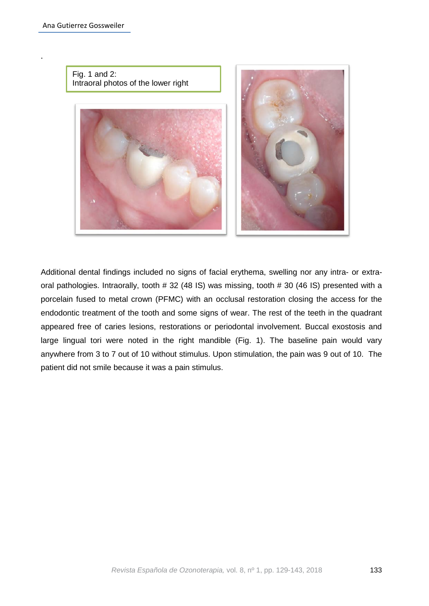.



Additional dental findings included no signs of facial erythema, swelling nor any intra- or extraoral pathologies. Intraorally, tooth # 32 (48 IS) was missing, tooth # 30 (46 IS) presented with a porcelain fused to metal crown (PFMC) with an occlusal restoration closing the access for the endodontic treatment of the tooth and some signs of wear. The rest of the teeth in the quadrant appeared free of caries lesions, restorations or periodontal involvement. Buccal exostosis and large lingual tori were noted in the right mandible (Fig. 1). The baseline pain would vary anywhere from 3 to 7 out of 10 without stimulus. Upon stimulation, the pain was 9 out of 10. The patient did not smile because it was a pain stimulus.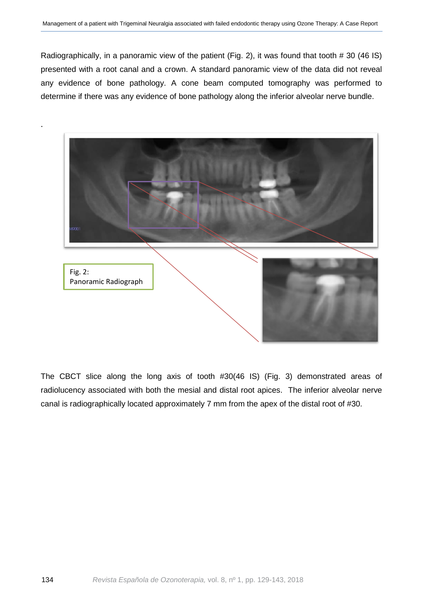Radiographically, in a panoramic view of the patient (Fig. 2), it was found that tooth # 30 (46 IS) presented with a root canal and a crown. A standard panoramic view of the data did not reveal any evidence of bone pathology. A cone beam computed tomography was performed to determine if there was any evidence of bone pathology along the inferior alveolar nerve bundle.



The CBCT slice along the long axis of tooth #30(46 IS) (Fig. 3) demonstrated areas of radiolucency associated with both the mesial and distal root apices. The inferior alveolar nerve canal is radiographically located approximately 7 mm from the apex of the distal root of #30.

.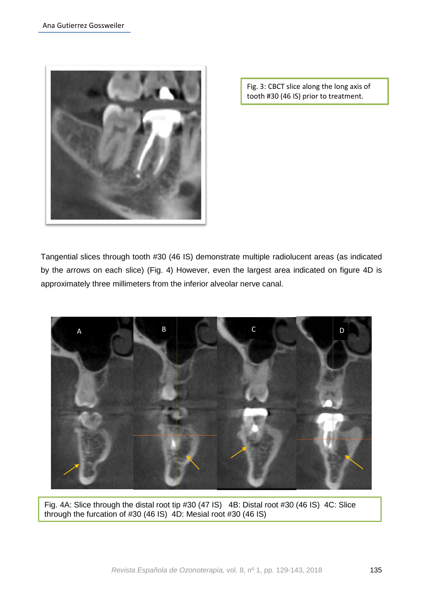

Fig. 3: CBCT slice along the long axis of tooth #30 (46 IS) prior to treatment.

Tangential slices through tooth #30 (46 IS) demonstrate multiple radiolucent areas (as indicated by the arrows on each slice) (Fig. 4) However, even the largest area indicated on figure 4D is approximately three millimeters from the inferior alveolar nerve canal.



Fig. 4A: Slice through the distal root tip #30 (47 IS) 4B: Distal root #30 (46 IS) 4C: Slice through the furcation of #30 (46 IS) 4D: Mesial root #30 (46 IS)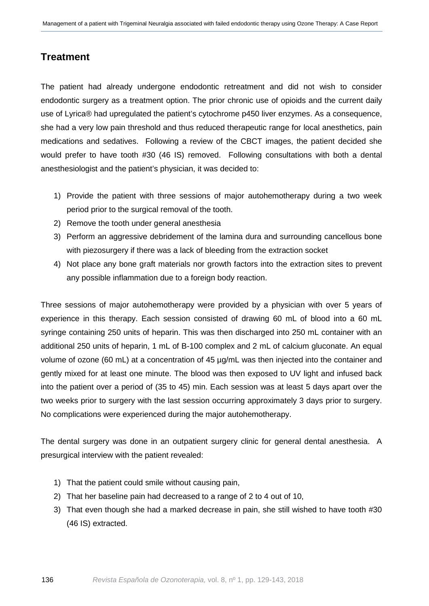# **Treatment**

The patient had already undergone endodontic retreatment and did not wish to consider endodontic surgery as a treatment option. The prior chronic use of opioids and the current daily use of Lyrica® had upregulated the patient's cytochrome p450 liver enzymes. As a consequence, she had a very low pain threshold and thus reduced therapeutic range for local anesthetics, pain medications and sedatives. Following a review of the CBCT images, the patient decided she would prefer to have tooth #30 (46 IS) removed. Following consultations with both a dental anesthesiologist and the patient's physician, it was decided to:

- 1) Provide the patient with three sessions of major autohemotherapy during a two week period prior to the surgical removal of the tooth.
- 2) Remove the tooth under general anesthesia
- 3) Perform an aggressive debridement of the lamina dura and surrounding cancellous bone with piezosurgery if there was a lack of bleeding from the extraction socket
- 4) Not place any bone graft materials nor growth factors into the extraction sites to prevent any possible inflammation due to a foreign body reaction.

Three sessions of major autohemotherapy were provided by a physician with over 5 years of experience in this therapy. Each session consisted of drawing 60 mL of blood into a 60 mL syringe containing 250 units of heparin. This was then discharged into 250 mL container with an additional 250 units of heparin, 1 mL of B-100 complex and 2 mL of calcium gluconate. An equal volume of ozone (60 mL) at a concentration of 45 µg/mL was then injected into the container and gently mixed for at least one minute. The blood was then exposed to UV light and infused back into the patient over a period of (35 to 45) min. Each session was at least 5 days apart over the two weeks prior to surgery with the last session occurring approximately 3 days prior to surgery. No complications were experienced during the major autohemotherapy.

The dental surgery was done in an outpatient surgery clinic for general dental anesthesia. A presurgical interview with the patient revealed:

- 1) That the patient could smile without causing pain,
- 2) That her baseline pain had decreased to a range of 2 to 4 out of 10,
- 3) That even though she had a marked decrease in pain, she still wished to have tooth #30 (46 IS) extracted.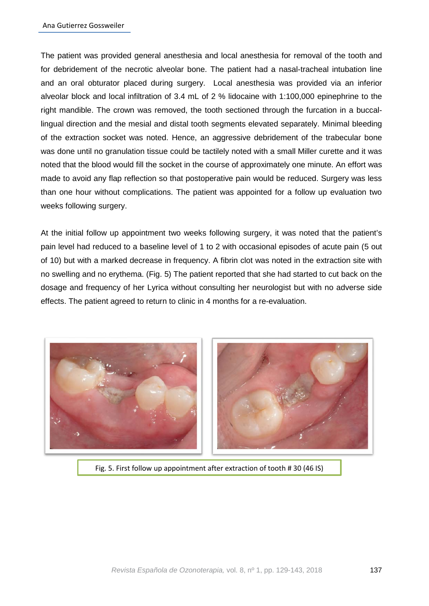The patient was provided general anesthesia and local anesthesia for removal of the tooth and for debridement of the necrotic alveolar bone. The patient had a nasal-tracheal intubation line and an oral obturator placed during surgery. Local anesthesia was provided via an inferior alveolar block and local infiltration of 3.4 mL of 2 % lidocaine with 1:100,000 epinephrine to the right mandible. The crown was removed, the tooth sectioned through the furcation in a buccallingual direction and the mesial and distal tooth segments elevated separately. Minimal bleeding of the extraction socket was noted. Hence, an aggressive debridement of the trabecular bone was done until no granulation tissue could be tactilely noted with a small Miller curette and it was noted that the blood would fill the socket in the course of approximately one minute. An effort was made to avoid any flap reflection so that postoperative pain would be reduced. Surgery was less than one hour without complications. The patient was appointed for a follow up evaluation two weeks following surgery.

At the initial follow up appointment two weeks following surgery, it was noted that the patient's pain level had reduced to a baseline level of 1 to 2 with occasional episodes of acute pain (5 out of 10) but with a marked decrease in frequency. A fibrin clot was noted in the extraction site with no swelling and no erythema. (Fig. 5) The patient reported that she had started to cut back on the dosage and frequency of her Lyrica without consulting her neurologist but with no adverse side effects. The patient agreed to return to clinic in 4 months for a re-evaluation.



Fig. 5. First follow up appointment after extraction of tooth # 30 (46 IS)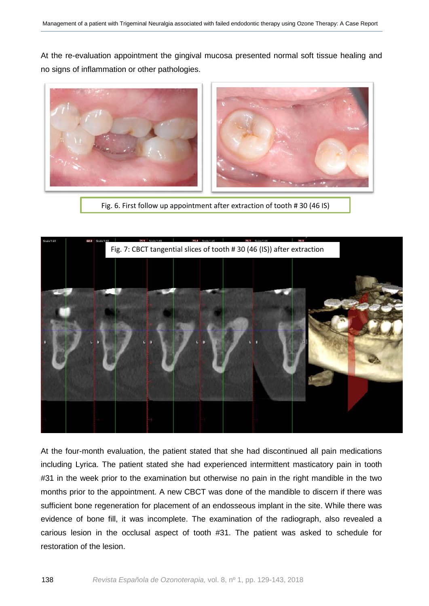At the re-evaluation appointment the gingival mucosa presented normal soft tissue healing and no signs of inflammation or other pathologies.



Fig. 6. First follow up appointment after extraction of tooth # 30 (46 IS)



At the four-month evaluation, the patient stated that she had discontinued all pain medications including Lyrica. The patient stated she had experienced intermittent masticatory pain in tooth #31 in the week prior to the examination but otherwise no pain in the right mandible in the two months prior to the appointment. A new CBCT was done of the mandible to discern if there was sufficient bone regeneration for placement of an endosseous implant in the site. While there was evidence of bone fill, it was incomplete. The examination of the radiograph, also revealed a carious lesion in the occlusal aspect of tooth #31. The patient was asked to schedule for restoration of the lesion.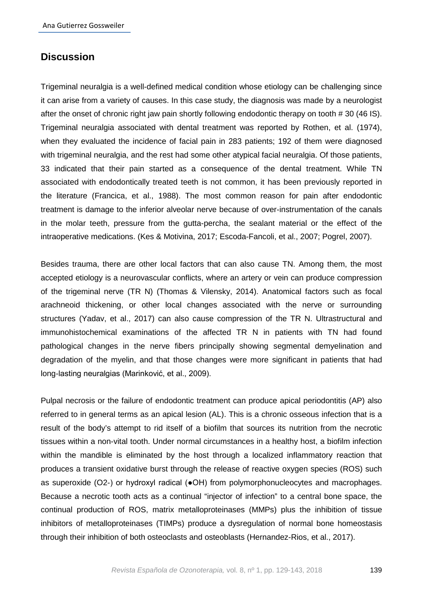# **Discussion**

Trigeminal neuralgia is a well-defined medical condition whose etiology can be challenging since it can arise from a variety of causes. In this case study, the diagnosis was made by a neurologist after the onset of chronic right jaw pain shortly following endodontic therapy on tooth # 30 (46 IS). Trigeminal neuralgia associated with dental treatment was reported by Rothen, et al. (1974), when they evaluated the incidence of facial pain in 283 patients; 192 of them were diagnosed with trigeminal neuralgia, and the rest had some other atypical facial neuralgia. Of those patients, 33 indicated that their pain started as a consequence of the dental treatment. While TN associated with endodontically treated teeth is not common, it has been previously reported in the literature (Francica, et al., 1988). The most common reason for pain after endodontic treatment is damage to the inferior alveolar nerve because of over-instrumentation of the canals in the molar teeth, pressure from the gutta-percha, the sealant material or the effect of the intraoperative medications. (Kes & Motivina, 2017; Escoda-Fancoli, et al., 2007; Pogrel, 2007).

Besides trauma, there are other local factors that can also cause TN. Among them, the most accepted etiology is a neurovascular conflicts, where an artery or vein can produce compression of the trigeminal nerve (TR N) (Thomas & Vilensky, 2014). Anatomical factors such as focal arachneoid thickening, or other local changes associated with the nerve or surrounding structures (Yadav, et al., 2017) can also cause compression of the TR N. Ultrastructural and immunohistochemical examinations of the affected TR N in patients with TN had found pathological changes in the nerve fibers principally showing segmental demyelination and degradation of the myelin, and that those changes were more significant in patients that had long-lasting neuralgias (Marinković, et al., 2009).

Pulpal necrosis or the failure of endodontic treatment can produce apical periodontitis (AP) also referred to in general terms as an apical lesion (AL). This is a chronic osseous infection that is a result of the body's attempt to rid itself of a biofilm that sources its nutrition from the necrotic tissues within a non-vital tooth. Under normal circumstances in a healthy host, a biofilm infection within the mandible is eliminated by the host through a localized inflammatory reaction that produces a transient oxidative burst through the release of reactive oxygen species (ROS) such as superoxide (O2-) or hydroxyl radical (●OH) from polymorphonucleocytes and macrophages. Because a necrotic tooth acts as a continual "injector of infection" to a central bone space, the continual production of ROS, matrix metalloproteinases (MMPs) plus the inhibition of tissue inhibitors of metalloproteinases (TIMPs) produce a dysregulation of normal bone homeostasis through their inhibition of both osteoclasts and osteoblasts (Hernandez-Rios, et al., 2017).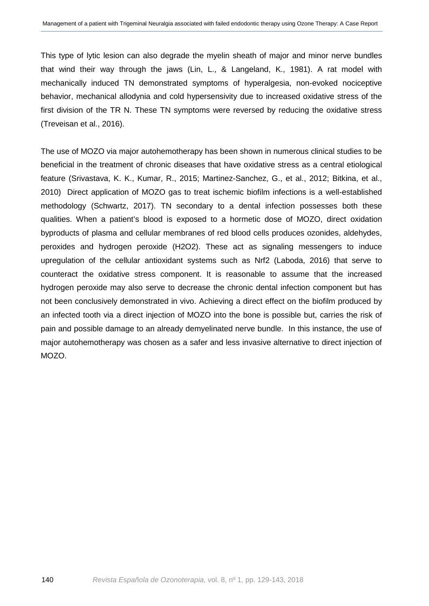This type of lytic lesion can also degrade the myelin sheath of major and minor nerve bundles that wind their way through the jaws (Lin, L., & Langeland, K., 1981). A rat model with mechanically induced TN demonstrated symptoms of hyperalgesia, non-evoked nociceptive behavior, mechanical allodynia and cold hypersensivity due to increased oxidative stress of the first division of the TR N. These TN symptoms were reversed by reducing the oxidative stress (Treveisan et al., 2016).

The use of MOZO via major autohemotherapy has been shown in numerous clinical studies to be beneficial in the treatment of chronic diseases that have oxidative stress as a central etiological feature (Srivastava, K. K., Kumar, R., 2015; Martinez-Sanchez, G., et al., 2012; Bitkina, et al., 2010) Direct application of MOZO gas to treat ischemic biofilm infections is a well-established methodology (Schwartz, 2017). TN secondary to a dental infection possesses both these qualities. When a patient's blood is exposed to a hormetic dose of MOZO, direct oxidation byproducts of plasma and cellular membranes of red blood cells produces ozonides, aldehydes, peroxides and hydrogen peroxide (H2O2). These act as signaling messengers to induce upregulation of the cellular antioxidant systems such as Nrf2 (Laboda, 2016) that serve to counteract the oxidative stress component. It is reasonable to assume that the increased hydrogen peroxide may also serve to decrease the chronic dental infection component but has not been conclusively demonstrated in vivo. Achieving a direct effect on the biofilm produced by an infected tooth via a direct injection of MOZO into the bone is possible but, carries the risk of pain and possible damage to an already demyelinated nerve bundle. In this instance, the use of major autohemotherapy was chosen as a safer and less invasive alternative to direct injection of MOZO.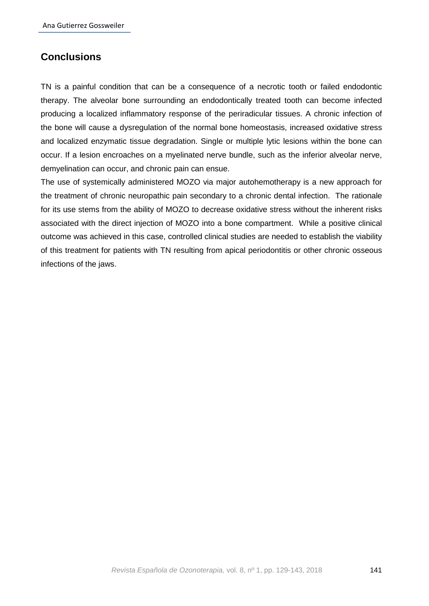# **Conclusions**

TN is a painful condition that can be a consequence of a necrotic tooth or failed endodontic therapy. The alveolar bone surrounding an endodontically treated tooth can become infected producing a localized inflammatory response of the periradicular tissues. A chronic infection of the bone will cause a dysregulation of the normal bone homeostasis, increased oxidative stress and localized enzymatic tissue degradation. Single or multiple lytic lesions within the bone can occur. If a lesion encroaches on a myelinated nerve bundle, such as the inferior alveolar nerve, demyelination can occur, and chronic pain can ensue.

The use of systemically administered MOZO via major autohemotherapy is a new approach for the treatment of chronic neuropathic pain secondary to a chronic dental infection. The rationale for its use stems from the ability of MOZO to decrease oxidative stress without the inherent risks associated with the direct injection of MOZO into a bone compartment. While a positive clinical outcome was achieved in this case, controlled clinical studies are needed to establish the viability of this treatment for patients with TN resulting from apical periodontitis or other chronic osseous infections of the jaws.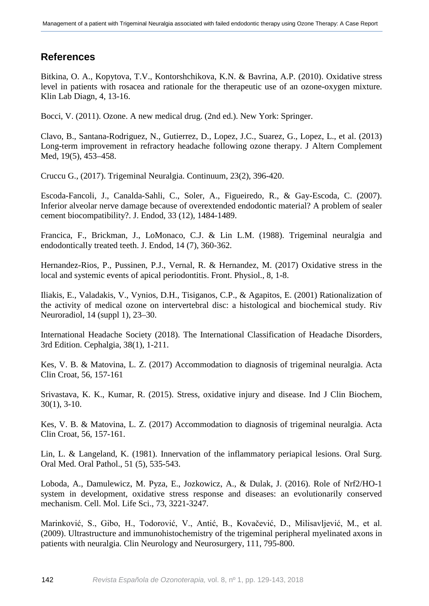# **References**

Bitkina, O. A., Kopytova, T.V., Kontorshchikova, K.N. & Bavrina, A.P. (2010). Oxidative stress level in patients with rosacea and rationale for the therapeutic use of an ozone-oxygen mixture. Klin Lab Diagn, 4, 13-16.

Bocci, V. (2011). Ozone. A new medical drug. (2nd ed.). New York: Springer.

Clavo, B., Santana-Rodriguez, N., Gutierrez, D., Lopez, J.C., Suarez, G., Lopez, L., et al. (2013) Long-term improvement in refractory headache following ozone therapy. J Altern Complement Med, 19(5), 453–458.

Cruccu G., (2017). Trigeminal Neuralgia. Continuum, 23(2), 396-420.

Escoda-Fancoli, J., Canalda-Sahli, C., Soler, A., Figueiredo, R., & Gay-Escoda, C. (2007). Inferior alveolar nerve damage because of overextended endodontic material? A problem of sealer cement biocompatibility?. J. Endod, 33 (12), 1484-1489.

Francica, F., Brickman, J., LoMonaco, C.J. & Lin L.M. (1988). Trigeminal neuralgia and endodontically treated teeth. J. Endod, 14 (7), 360-362.

Hernandez-Rios, P., Pussinen, P.J., Vernal, R. & Hernandez, M. (2017) Oxidative stress in the local and systemic events of apical periodontitis. Front. Physiol., 8, 1-8.

Iliakis, E., Valadakis, V., Vynios, D.H., Tisiganos, C.P., & Agapitos, E. (2001) Rationalization of the activity of medical ozone on intervertebral disc: a histological and biochemical study. Riv Neuroradiol, 14 (suppl 1), 23–30.

International Headache Society (2018). The International Classification of Headache Disorders, 3rd Edition. Cephalgia, 38(1), 1-211.

Kes, V. B. & Matovina, L. Z. (2017) Accommodation to diagnosis of trigeminal neuralgia. Acta Clin Croat, 56, 157-161

Srivastava, K. K., Kumar, R. (2015). Stress, oxidative injury and disease. Ind J Clin Biochem, 30(1), 3-10.

Kes, V. B. & Matovina, L. Z. (2017) Accommodation to diagnosis of trigeminal neuralgia. Acta Clin Croat, 56, 157-161.

Lin, L. & Langeland, K. (1981). Innervation of the inflammatory periapical lesions. Oral Surg. Oral Med. Oral Pathol., 51 (5), 535-543.

Loboda, A., Damulewicz, M. Pyza, E., Jozkowicz, A., & Dulak, J. (2016). Role of Nrf2/HO-1 system in development, oxidative stress response and diseases: an evolutionarily conserved mechanism. Cell. Mol. Life Sci., 73, 3221-3247.

Marinković, S., Gibo, H., Todorović, V., Antić, B., Kovačević, D., Milisavljević, M., et al. (2009). Ultrastructure and immunohistochemistry of the trigeminal peripheral myelinated axons in patients with neuralgia. Clin Neurology and Neurosurgery, 111, 795-800.